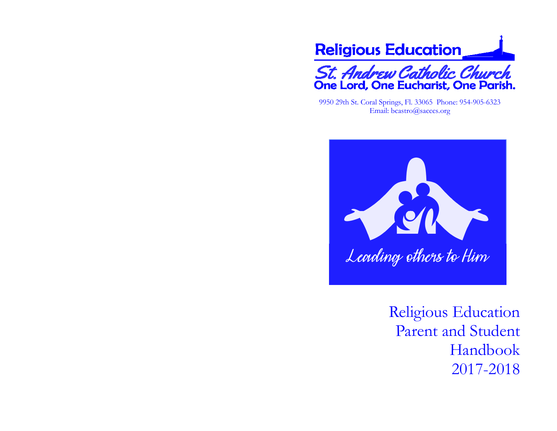

9950 29th St. Coral Springs, Fl. 33065 Phone: 954-905-6323 Email: bcastro@sacccs.org



Religious Education Parent and Student Handbook 2017-2018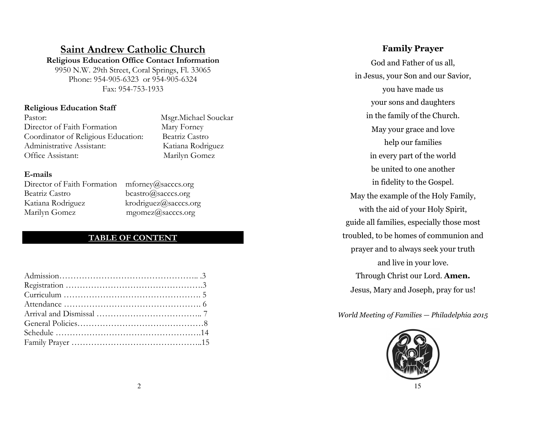# Saint Andrew Catholic Church

 Religious Education Office Contact Information 9950 N.W. 29th Street, Coral Springs, Fl. 33065 Phone: 954-905-6323 or 954-905-6324 Fax: 954-753-1933

## Religious Education Staff

| Pastor:                             |
|-------------------------------------|
| Director of Faith Formation         |
| Coordinator of Religious Education: |
| Administrative Assistant:           |
| Office Assistant:                   |

Msgr.Michael Souckar Mary Forney Beatriz Castro Katiana Rodriguez Marilyn Gomez

### E-mails

| Director of Faith Formation |
|-----------------------------|
| Beatriz Castro              |
| Katiana Rodriguez           |
| Marilyn Gomez               |

 $m$ forney@sacccs.org bcastro@sacccs.org  $krodriquez@saccess.org$  $mgomez$ @sacccs.org

## TABLE OF CONTENT

## Family Prayer

God and Father of us all, in Jesus, your Son and our Savior, you have made us your sons and daughters in the family of the Church. May your grace and love help our families in every part of the world be united to one another in fidelity to the Gospel. May the example of the Holy Family, with the aid of your Holy Spirit, guide all families, especially those most troubled, to be homes of communion and prayer and to always seek your truth and live in your love. Through Christ our Lord. Amen.Jesus, Mary and Joseph, pray for us!

World Meeting of Families — Philadelphia 2015

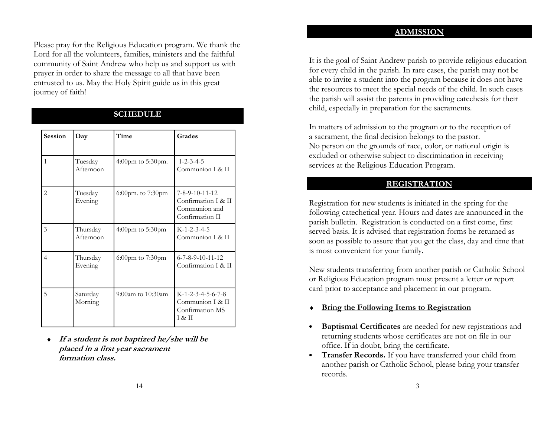#### **ADMISSION**

Please pray for the Religious Education program. We thank the Lord for all the volunteers, families, ministers and the faithful community of Saint Andrew who help us and support us with prayer in order to share the message to all that have been entrusted to us. May the Holy Spirit guide us in this great journey of faith!

| <b>Session</b> | Day                   | Time                   | Grades                                                                                |
|----------------|-----------------------|------------------------|---------------------------------------------------------------------------------------|
| $\mathbf{1}$   | Tuesday<br>Afternoon  | 4:00pm to 5:30pm.      | $1 - 2 - 3 - 4 - 5$<br>Communion I & II                                               |
| $\overline{2}$ | Tuesday<br>Evening    | 6:00pm. to 7:30pm      | $7 - 8 - 9 - 10 - 11 - 12$<br>Confirmation I & II<br>Communion and<br>Confirmation II |
| 3              | Thursday<br>Afternoon | 4:00pm to 5:30pm       | $K-1-2-3-4-5$<br>Communion I & II                                                     |
| 4              | Thursday<br>Evening   | $6:00$ pm to $7:30$ pm | 6-7-8-9-10-11-12<br>Confirmation I & II                                               |
| 5              | Saturday<br>Morning   | 9:00am to 10:30am      | $K-1-2-3-4-5-6-7-8$<br>Communion I & II<br>Confirmation MS<br>I & H                   |

## SCHEDULE

♦ If a student is not baptized he/she will be placed in a first year sacrament formation class.

It is the goal of Saint Andrew parish to provide religious education for every child in the parish. In rare cases, the parish may not be able to invite a student into the program because it does not have the resources to meet the special needs of the child. In such cases the parish will assist the parents in providing catechesis for their child, especially in preparation for the sacraments.

In matters of admission to the program or to the reception of a sacrament, the final decision belongs to the pastor. No person on the grounds of race, color, or national origin is excluded or otherwise subject to discrimination in receiving services at the Religious Education Program.

### **REGISTRATION**

Registration for new students is initiated in the spring for the following catechetical year. Hours and dates are announced in the parish bulletin. Registration is conducted on a first come, first served basis. It is advised that registration forms be returned as soon as possible to assure that you get the class, day and time that is most convenient for your family.

New students transferring from another parish or Catholic School or Religious Education program must present a letter or report card prior to acceptance and placement in our program.

- **Bring the Following Items to Registration**
- Baptismal Certificates are needed for new registrations and returning students whose certificates are not on file in our office. If in doubt, bring the certificate.
- Transfer Records. If you have transferred your child from another parish or Catholic School, please bring your transfer records.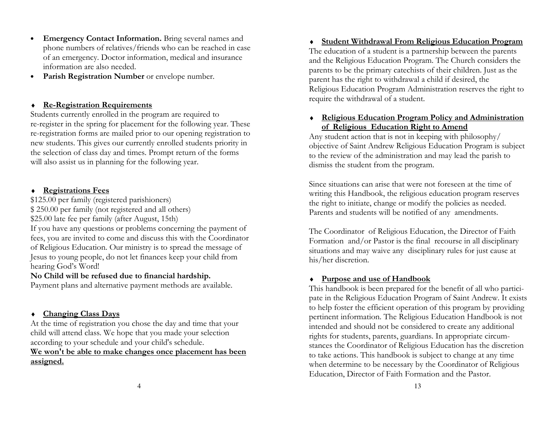- Emergency Contact Information. Bring several names and phone numbers of relatives/friends who can be reached in case of an emergency. Doctor information, medical and insurance information are also needed.
- Parish Registration Number or envelope number.

### ♦ Re-Registration Requirements

 Students currently enrolled in the program are required to re-register in the spring for placement for the following year. These re-registration forms are mailed prior to our opening registration to new students. This gives our currently enrolled students priority in the selection of class day and times. Prompt return of the forms will also assist us in planning for the following year.

### ♦ Registrations Fees

 \$125.00 per family (registered parishioners) \$ 250.00 per family (not registered and all others)\$25.00 late fee per family (after August, 15th) If you have any questions or problems concerning the payment of fees, you are invited to come and discuss this with the Coordinator of Religious Education. Our ministry is to spread the message of Jesus to young people, do not let finances keep your child from hearing God's Word!

### No Child will be refused due to financial hardship.

Payment plans and alternative payment methods are available.

### ♦ Changing Class Days

 At the time of registration you chose the day and time that your child will attend class. We hope that you made your selection according to your schedule and your child's schedule.

## We won't be able to make changes once placement has been assigned.

♦ Student Withdrawal From Religious Education Program The education of a student is a partnership between the parents and the Religious Education Program. The Church considers the parents to be the primary catechists of their children. Just as the parent has the right to withdrawal a child if desired, the Religious Education Program Administration reserves the right to require the withdrawal of a student.

## ♦ Religious Education Program Policy and Administration of Religious Education Right to Amend

 Any student action that is not in keeping with philosophy/ objective of Saint Andrew Religious Education Program is subject to the review of the administration and may lead the parish to dismiss the student from the program.

Since situations can arise that were not foreseen at the time of writing this Handbook, the religious education program reserves the right to initiate, change or modify the policies as needed. Parents and students will be notified of any amendments.

The Coordinator of Religious Education, the Director of Faith Formation and/or Pastor is the final recourse in all disciplinary situations and may waive any disciplinary rules for just cause at his/her discretion.

### ♦ Purpose and use of Handbook

 This handbook is been prepared for the benefit of all who participate in the Religious Education Program of Saint Andrew. It exists to help foster the efficient operation of this program by providing pertinent information. The Religious Education Handbook is not intended and should not be considered to create any additional rights for students, parents, guardians. In appropriate circumstances the Coordinator of Religious Education has the discretion to take actions. This handbook is subject to change at any time when determine to be necessary by the Coordinator of Religious Education, Director of Faith Formation and the Pastor.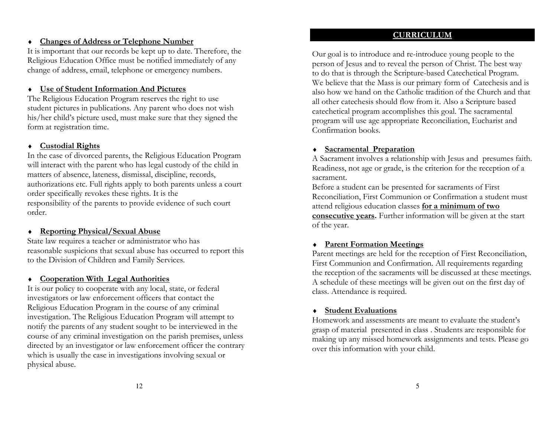## ♦ Changes of Address or Telephone Number

 It is important that our records be kept up to date. Therefore, the Religious Education Office must be notified immediately of any change of address, email, telephone or emergency numbers.

## ♦ Use of Student Information And Pictures

 The Religious Education Program reserves the right to use student pictures in publications. Any parent who does not wish his/her child's picture used, must make sure that they signed the form at registration time.

### ♦ Custodial Rights

 In the case of divorced parents, the Religious Education Program will interact with the parent who has legal custody of the child in matters of absence, lateness, dismissal, discipline, records, authorizations etc. Full rights apply to both parents unless a court order specifically revokes these rights. It is the responsibility of the parents to provide evidence of such court order.

### ♦ Reporting Physical/Sexual Abuse

 State law requires a teacher or administrator who has reasonable suspicions that sexual abuse has occurred to report this to the Division of Children and Family Services.

## ♦ Cooperation With Legal Authorities

 It is our policy to cooperate with any local, state, or federal investigators or law enforcement officers that contact the Religious Education Program in the course of any criminal investigation. The Religious Education Program will attempt to notify the parents of any student sought to be interviewed in the course of any criminal investigation on the parish premises, unless directed by an investigator or law enforcement officer the contrary which is usually the case in investigations involving sexual or physical abuse.

## **CURRICULUM**

Our goal is to introduce and re-introduce young people to the person of Jesus and to reveal the person of Christ. The best way to do that is through the Scripture-based Catechetical Program. We believe that the Mass is our primary form of Catechesis and is also how we hand on the Catholic tradition of the Church and that all other catechesis should flow from it. Also a Scripture based catechetical program accomplishes this goal. The sacramental program will use age appropriate Reconciliation, Eucharist and Confirmation books.

### ♦ Sacramental Preparation

 A Sacrament involves a relationship with Jesus and presumes faith. Readiness, not age or grade, is the criterion for the reception of a sacrament.

Before a student can be presented for sacraments of First Reconciliation, First Communion or Confirmation a student must attend religious education classes for a minimum of two consecutive years. Further information will be given at the start of the year.

### ♦ Parent Formation Meetings

 Parent meetings are held for the reception of First Reconciliation, First Communion and Confirmation. All requirements regarding the reception of the sacraments will be discussed at these meetings. A schedule of these meetings will be given out on the first day of class. Attendance is required.

#### ♦ Student Evaluations

 Homework and assessments are meant to evaluate the student's grasp of material presented in class . Students are responsible for making up any missed homework assignments and tests. Please go over this information with your child.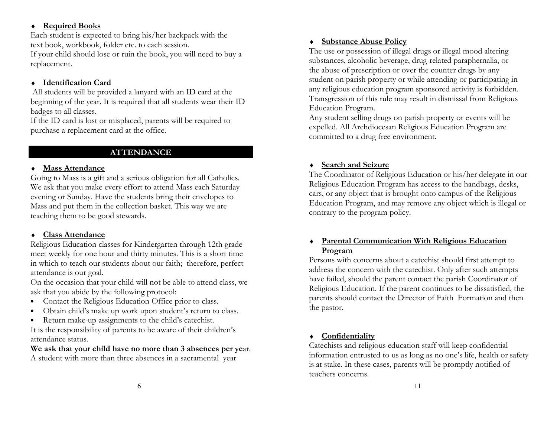## ♦ Required Books

 Each student is expected to bring his/her backpack with the text book, workbook, folder etc. to each session. If your child should lose or ruin the book, you will need to buy a replacement.

## ♦ Identification Card

 All students will be provided a lanyard with an ID card at the beginning of the year. It is required that all students wear their ID badges to all classes.

If the ID card is lost or misplaced, parents will be required to purchase a replacement card at the office.

## **ATTENDANCE**

## ♦ Mass Attendance

 Going to Mass is a gift and a serious obligation for all Catholics. We ask that you make every effort to attend Mass each Saturday evening or Sunday. Have the students bring their envelopes to Mass and put them in the collection basket. This way we are teaching them to be good stewards.

## ♦ Class Attendance

 Religious Education classes for Kindergarten through 12th grade meet weekly for one hour and thirty minutes. This is a short time in which to teach our students about our faith; therefore, perfect attendance is our goal.

On the occasion that your child will not be able to attend class, we ask that you abide by the following protocol:

- Contact the Religious Education Office prior to class.
- Obtain child's make up work upon student's return to class.
- Return make-up assignments to the child's catechist.

It is the responsibility of parents to be aware of their children's attendance status.

## We ask that your child have no more than 3 absences per year.

A student with more than three absences in a sacramental year

## ♦ Substance Abuse Policy

 The use or possession of illegal drugs or illegal mood altering substances, alcoholic beverage, drug-related paraphernalia, or the abuse of prescription or over the counter drugs by any student on parish property or while attending or participating in any religious education program sponsored activity is forbidden. Transgression of this rule may result in dismissal from Religious Education Program.

Any student selling drugs on parish property or events will be expelled. All Archdiocesan Religious Education Program are committed to a drug free environment.

## ♦ Search and Seizure

 The Coordinator of Religious Education or his/her delegate in our Religious Education Program has access to the handbags, desks, cars, or any object that is brought onto campus of the Religious Education Program, and may remove any object which is illegal or contrary to the program policy.

## ♦ Parental Communication With Religious Education Program

 Persons with concerns about a catechist should first attempt to address the concern with the catechist. Only after such attempts have failed, should the parent contact the parish Coordinator of Religious Education. If the parent continues to be dissatisfied, the parents should contact the Director of Faith Formation and then the pastor.

## ♦ Confidentiality

Catechists and religious education staff will keep confidential information entrusted to us as long as no one's life, health or safety is at stake. In these cases, parents will be promptly notified of teachers concerns.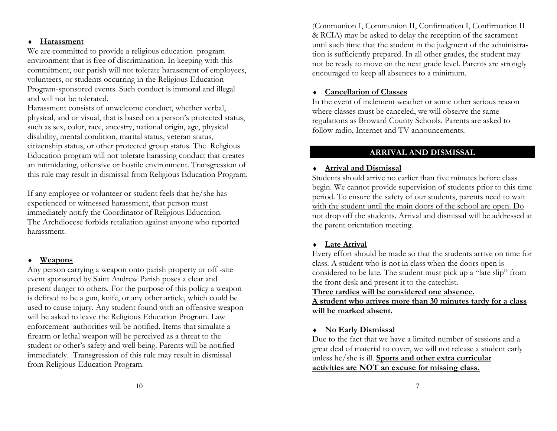### ♦ Harassment

 We are committed to provide a religious education program environment that is free of discrimination. In keeping with this commitment, our parish will not tolerate harassment of employees, volunteers, or students occurring in the Religious Education Program-sponsored events. Such conduct is immoral and illegal and will not be tolerated.

 Harassment consists of unwelcome conduct, whether verbal, physical, and or visual, that is based on a person's protected status, such as sex, color, race, ancestry, national origin, age, physical disability, mental condition, marital status, veteran status, citizenship status, or other protected group status. The Religious Education program will not tolerate harassing conduct that creates an intimidating, offensive or hostile environment. Transgression of this rule may result in dismissal from Religious Education Program.

If any employee or volunteer or student feels that he/she has experienced or witnessed harassment, that person must immediately notify the Coordinator of Religious Education. The Archdiocese forbids retaliation against anyone who reported harassment.

### ♦ Weapons

 Any person carrying a weapon onto parish property or off -site event sponsored by Saint Andrew Parish poses a clear and present danger to others. For the purpose of this policy a weapon is defined to be a gun, knife, or any other article, which could be used to cause injury. Any student found with an offensive weapon will be asked to leave the Religious Education Program. Law enforcement authorities will be notified. Items that simulate a firearm or lethal weapon will be perceived as a threat to the student or other's safety and well being. Parents will be notified immediately. Transgression of this rule may result in dismissal from Religious Education Program.

(Communion I, Communion II, Confirmation I, Confirmation II & RCIA) may be asked to delay the reception of the sacrament until such time that the student in the judgment of the administration is sufficiently prepared. In all other grades, the student may not be ready to move on the next grade level. Parents are strongly encouraged to keep all absences to a minimum.

## ♦ Cancellation of Classes

 In the event of inclement weather or some other serious reason where classes must be canceled, we will observe the same regulations as Broward County Schools. Parents are asked to follow radio, Internet and TV announcements.

## ARRIVAL AND DISMISSAL

## ♦ Arrival and Dismissal

 Students should arrive no earlier than five minutes before class begin. We cannot provide supervision of students prior to this time period. To ensure the safety of our students, parents need to wait with the student until the main doors of the school are open. Do not drop off the students. Arrival and dismissal will be addressed at the parent orientation meeting.

## ♦ Late Arrival

Every effort should be made so that the students arrive on time for class. A student who is not in class when the doors open is considered to be late. The student must pick up a "late slip" from the front desk and present it to the catechist.

Three tardies will be considered one absence.

A student who arrives more than 30 minutes tardy for a class will be marked absent.

## ♦ No Early Dismissal

 Due to the fact that we have a limited number of sessions and a great deal of material to cover, we will not release a student early unless he/she is ill. Sports and other extra curricular activities are NOT an excuse for missing class.